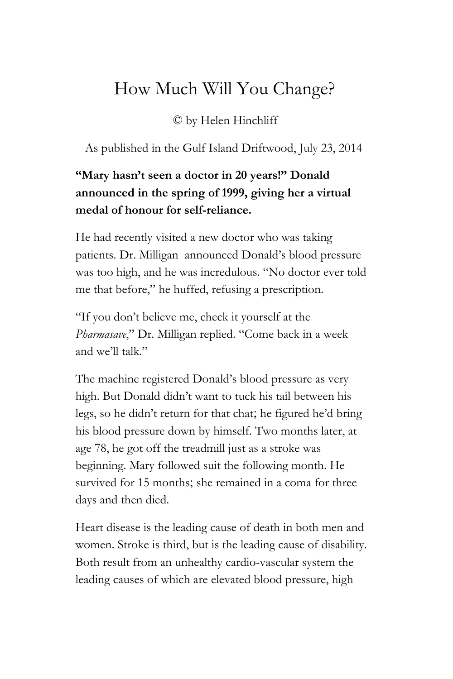## How Much Will You Change?

## © by Helen Hinchliff

As published in the Gulf Island Driftwood, July 23, 2014

## **"Mary hasn't seen a doctor in 20 years!" Donald announced in the spring of 1999, giving her a virtual medal of honour for self-reliance.**

He had recently visited a new doctor who was taking patients. Dr. Milligan announced Donald's blood pressure was too high, and he was incredulous. "No doctor ever told me that before," he huffed, refusing a prescription.

"If you don't believe me, check it yourself at the *Pharmasave*," Dr. Milligan replied. "Come back in a week and we'll talk."

The machine registered Donald's blood pressure as very high. But Donald didn't want to tuck his tail between his legs, so he didn't return for that chat; he figured he'd bring his blood pressure down by himself. Two months later, at age 78, he got off the treadmill just as a stroke was beginning. Mary followed suit the following month. He survived for 15 months; she remained in a coma for three days and then died.

Heart disease is the leading cause of death in both men and women. Stroke is third, but is the leading cause of disability. Both result from an unhealthy cardio-vascular system the leading causes of which are elevated blood pressure, high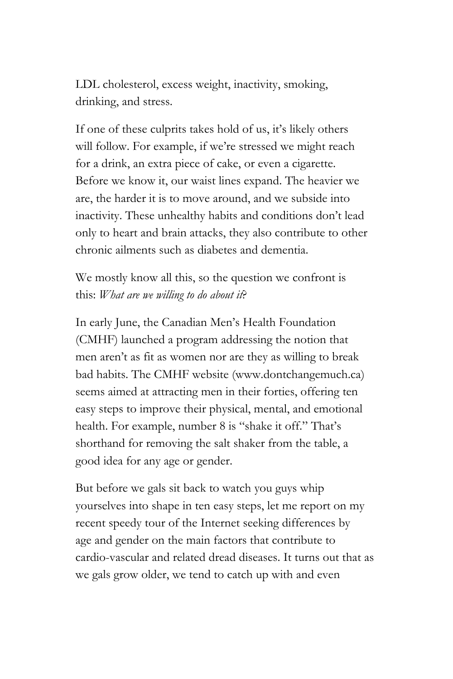LDL cholesterol, excess weight, inactivity, smoking, drinking, and stress.

If one of these culprits takes hold of us, it's likely others will follow. For example, if we're stressed we might reach for a drink, an extra piece of cake, or even a cigarette. Before we know it, our waist lines expand. The heavier we are, the harder it is to move around, and we subside into inactivity. These unhealthy habits and conditions don't lead only to heart and brain attacks, they also contribute to other chronic ailments such as diabetes and dementia.

We mostly know all this, so the question we confront is this: *What are we willing to do about it*?

In early June, the Canadian Men's Health Foundation (CMHF) launched a program addressing the notion that men aren't as fit as women nor are they as willing to break bad habits. The CMHF website (www.dontchangemuch.ca) seems aimed at attracting men in their forties, offering ten easy steps to improve their physical, mental, and emotional health. For example, number 8 is "shake it off." That's shorthand for removing the salt shaker from the table, a good idea for any age or gender.

But before we gals sit back to watch you guys whip yourselves into shape in ten easy steps, let me report on my recent speedy tour of the Internet seeking differences by age and gender on the main factors that contribute to cardio-vascular and related dread diseases. It turns out that as we gals grow older, we tend to catch up with and even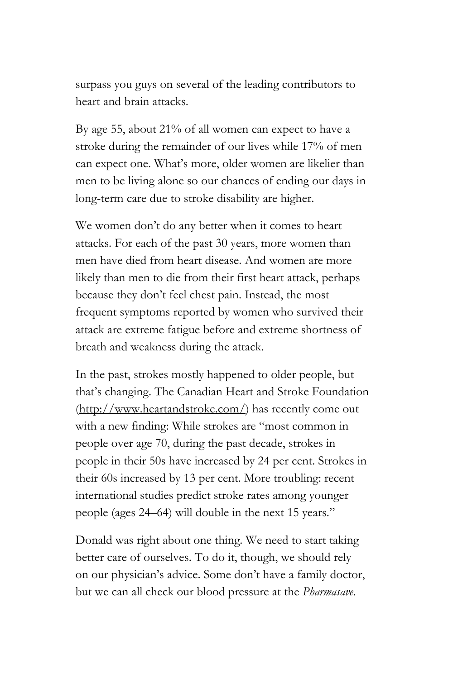surpass you guys on several of the leading contributors to heart and brain attacks.

By age 55, about 21% of all women can expect to have a stroke during the remainder of our lives while 17% of men can expect one. What's more, older women are likelier than men to be living alone so our chances of ending our days in long-term care due to stroke disability are higher.

We women don't do any better when it comes to heart attacks. For each of the past 30 years, more women than men have died from heart disease. And women are more likely than men to die from their first heart attack, perhaps because they don't feel chest pain. Instead, the most frequent symptoms reported by women who survived their attack are extreme fatigue before and extreme shortness of breath and weakness during the attack.

In the past, strokes mostly happened to older people, but that's changing. The Canadian Heart and Stroke Foundation [\(http://www.heartandstroke.com/\)](http://www.google.com/url?q=http%3A%2F%2Fwww.heartandstroke.com%2F&sa=D&sntz=1&usg=AFQjCNFPLYN4eBZV1DVSc4kxCfLQLTWo6A) has recently come out with a new finding: While strokes are "most common in people over age 70, during the past decade, strokes in people in their 50s have increased by 24 per cent. Strokes in their 60s increased by 13 per cent. More troubling: recent international studies predict stroke rates among younger people (ages 24–64) will double in the next 15 years."

Donald was right about one thing. We need to start taking better care of ourselves. To do it, though, we should rely on our physician's advice. Some don't have a family doctor, but we can all check our blood pressure at the *Pharmasave*.